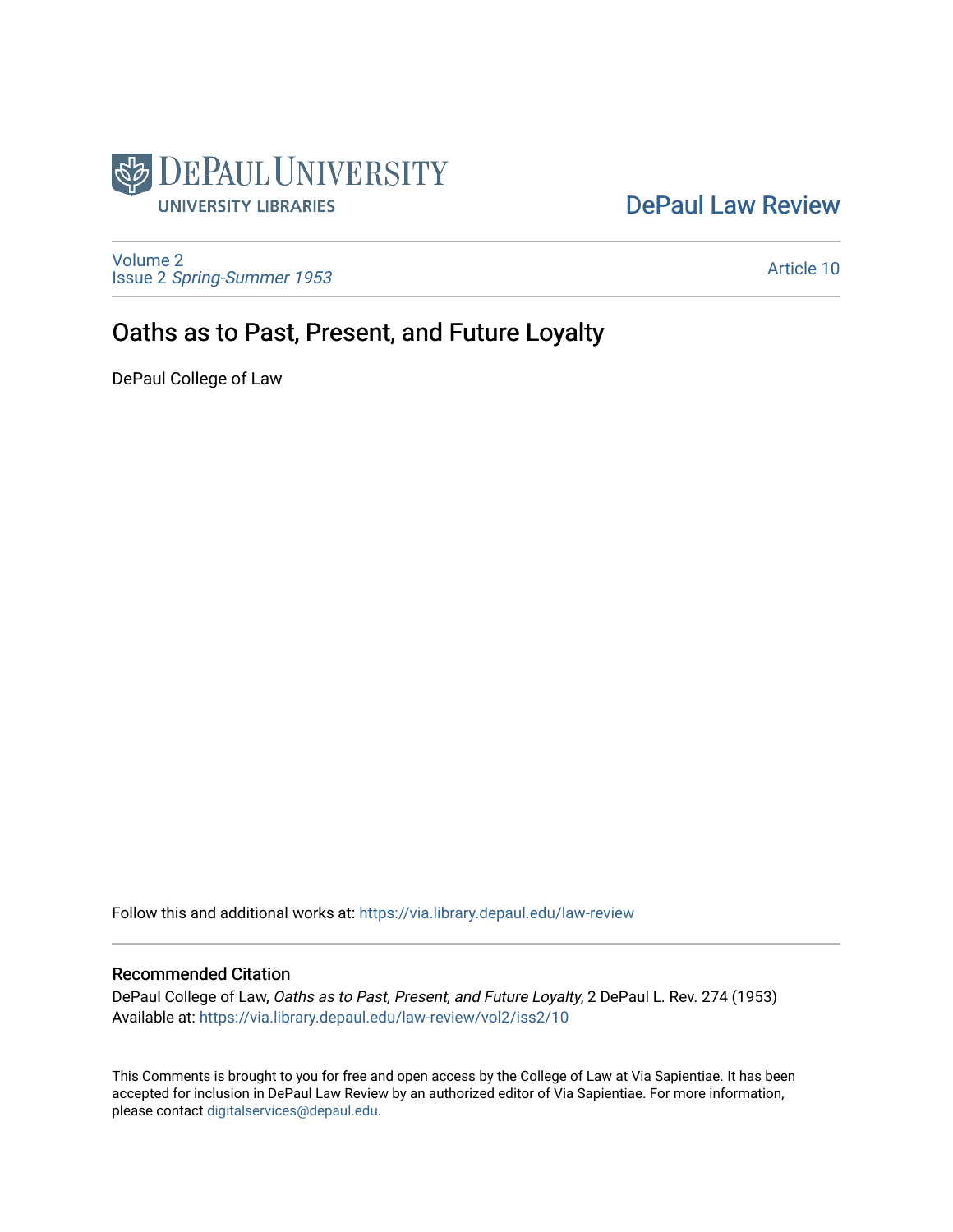

## [DePaul Law Review](https://via.library.depaul.edu/law-review)

[Volume 2](https://via.library.depaul.edu/law-review/vol2) Issue 2 [Spring-Summer 1953](https://via.library.depaul.edu/law-review/vol2/iss2) 

[Article 10](https://via.library.depaul.edu/law-review/vol2/iss2/10) 

## Oaths as to Past, Present, and Future Loyalty

DePaul College of Law

Follow this and additional works at: [https://via.library.depaul.edu/law-review](https://via.library.depaul.edu/law-review?utm_source=via.library.depaul.edu%2Flaw-review%2Fvol2%2Fiss2%2F10&utm_medium=PDF&utm_campaign=PDFCoverPages) 

## Recommended Citation

DePaul College of Law, Oaths as to Past, Present, and Future Loyalty, 2 DePaul L. Rev. 274 (1953) Available at: [https://via.library.depaul.edu/law-review/vol2/iss2/10](https://via.library.depaul.edu/law-review/vol2/iss2/10?utm_source=via.library.depaul.edu%2Flaw-review%2Fvol2%2Fiss2%2F10&utm_medium=PDF&utm_campaign=PDFCoverPages) 

This Comments is brought to you for free and open access by the College of Law at Via Sapientiae. It has been accepted for inclusion in DePaul Law Review by an authorized editor of Via Sapientiae. For more information, please contact [digitalservices@depaul.edu.](mailto:digitalservices@depaul.edu)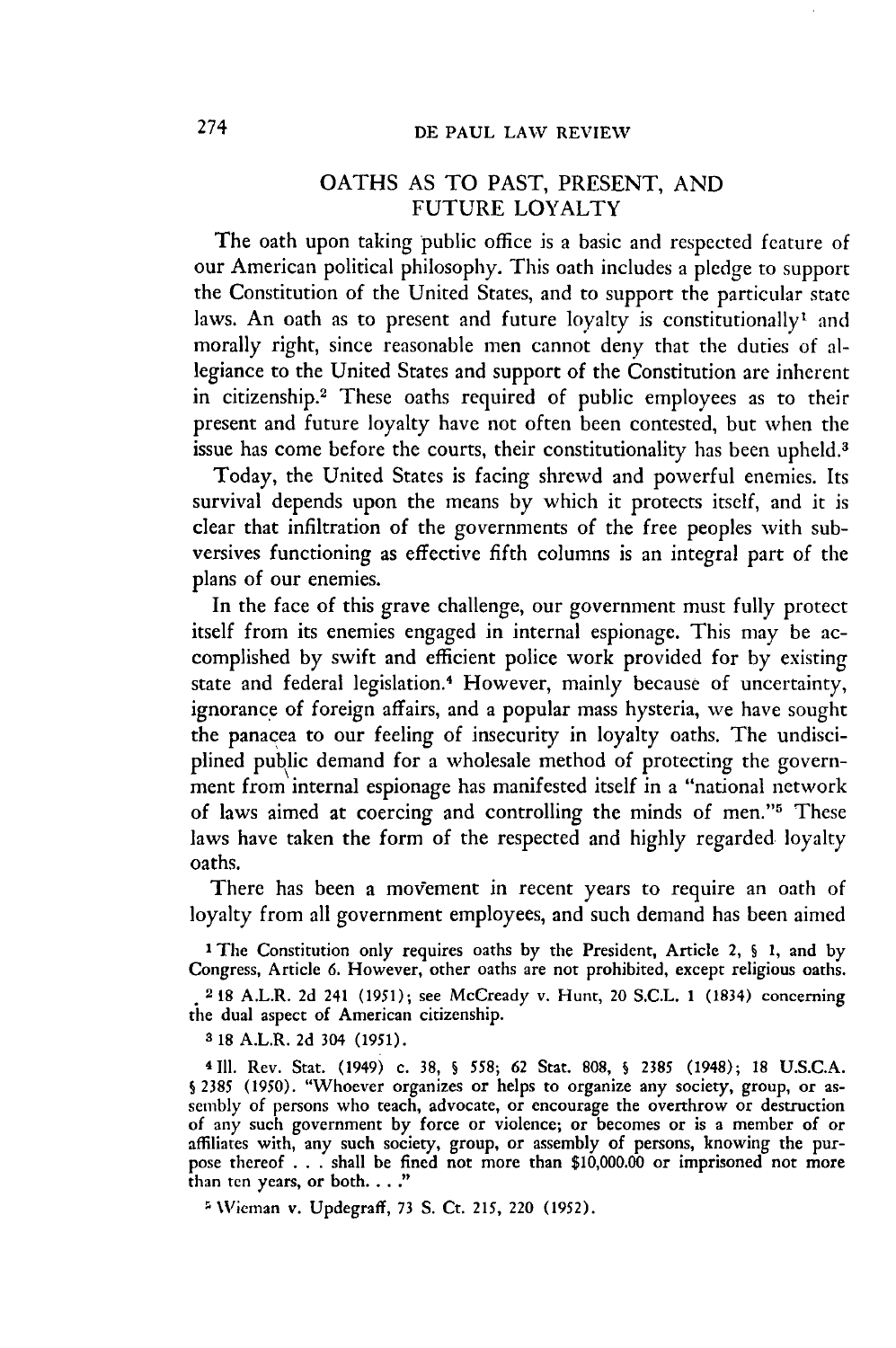## OATHS AS TO PAST, PRESENT, AND FUTURE LOYALTY

The oath upon taking public office is a basic and respected feature of our American political philosophy. This oath includes a pledge to support the Constitution of the United States, and to support the particular state laws. An oath as to present and future loyalty is constitutionally<sup>1</sup> and morally right, since reasonable men cannot deny that the duties of allegiance to the United States and support of the Constitution are inherent in citizenship.<sup>2</sup> These oaths required of public employees as to their present and future loyalty have not often been contested, but when the issue has come before the courts, their constitutionality has been upheld.<sup>3</sup>

Today, the United States is facing shrewd and powerful enemies. Its survival depends upon the means by which it protects itself, and it is clear that infiltration of the governments of the free peoples with subversives functioning as effective fifth columns is an integral part of the plans of our enemies.

In the face of this grave challenge, our government must fully protect itself from its enemies engaged in internal espionage. This may be accomplished by swift and efficient police work provided for by existing state and federal legislation.<sup>4</sup> However, mainly because of uncertainty, ignorance of foreign affairs, and a popular mass hysteria, we have sought the panacea to our feeling of insecurity in loyalty oaths. The undisciplined public demand for a wholesale method of protecting the government from internal espionage has manifested itself in a "national network of laws aimed at coercing and controlling the minds of men."5 These laws have taken the form of the respected and highly regarded loyalty oaths.

There has been a movement in recent years to require an oath of loyalty from all government employees, and such demand has been aimed

1 The Constitution only requires oaths **by** the President, Article 2, § **1,** and by Congress, Article 6. However, other oaths are not prohibited, except religious oaths.

2 18 A.L.R. 2d 241 (1951); see McCready v. Hunt, 20 S.C.L. 1 (1834) concerning the dual aspect of American citizenship.

a 18 A.L.R. 2d 304 (1951).

4111. Rev. Stat. (1949) c. 38, **S** 558; 62 Stat. 808, **S** 2385 (1948); 18 U.S.C.A. § 2385 (1950). "Whoever organizes or helps to organize any society, group, or assembly of persons who teach, advocate, or encourage the overthrow or destruction of any such government by force or violence; or becomes or is a member of or affiliates with, any such society, group, or assembly of persons, knowing the purpose thereof  $\ldots$  shall be fined not more than \$10,000.00 or imprisoned not more than ten years, or both. . . ."

\Vieman v. Updegraff, 73 **S.** Ct. 215, 220 **(1952).**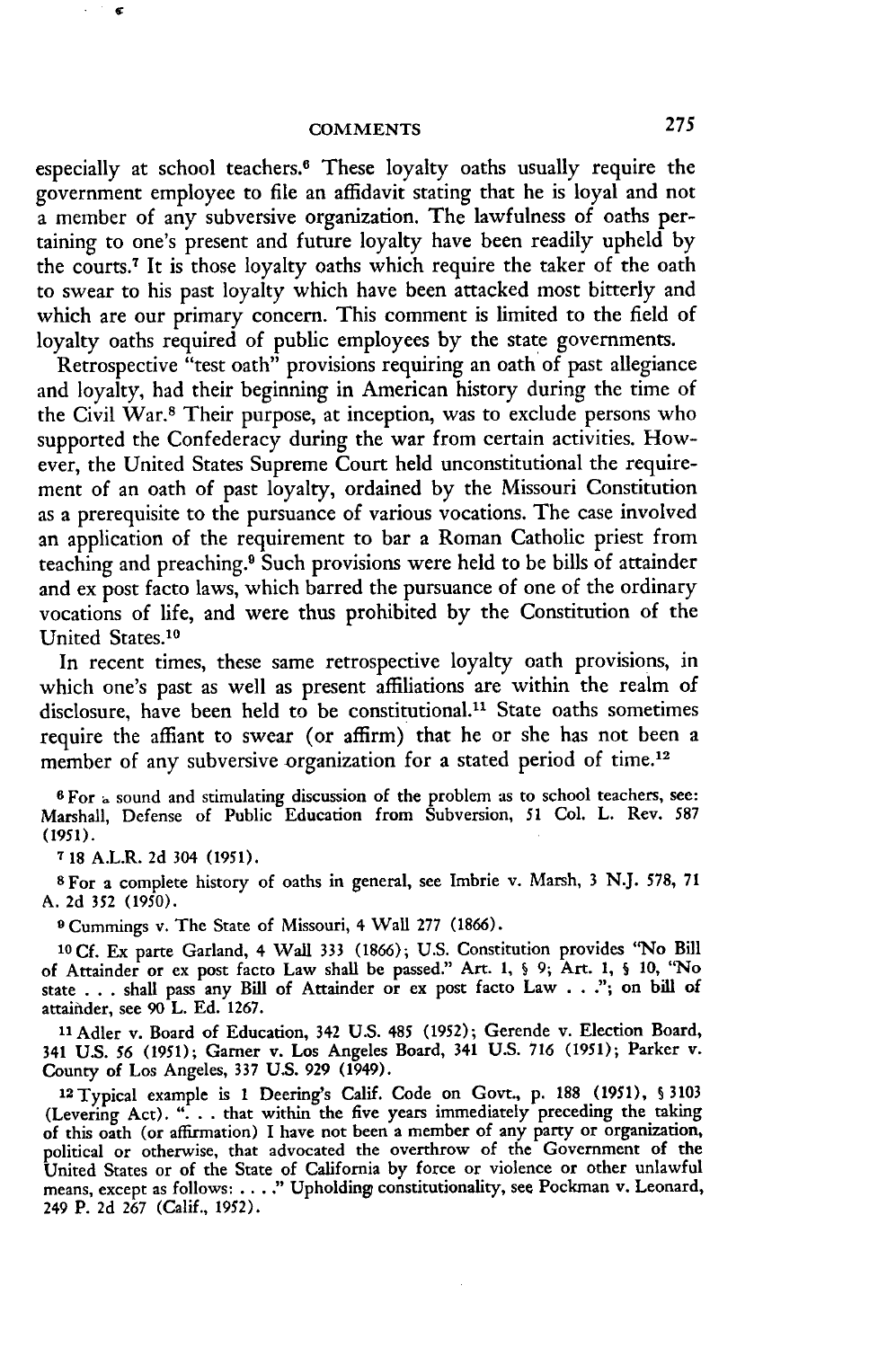especially at school teachers.<sup>6</sup> These loyalty oaths usually require the government employee to file an affidavit stating that he is loyal and not a member of any subversive organization. The lawfulness of oaths pertaining to one's present and future loyalty have been readily upheld by the courts.7 It is those loyalty oaths which require the taker of the oath to swear to his past loyalty which have been attacked most bitterly and which are our primary concern. This comment is limited to the field of loyalty oaths required of public employees by the state governments.

Retrospective "test oath" provisions requiring an oath of past allegiance and loyalty, had their beginning in American history during the time of the Civil War.<sup>8</sup> Their purpose, at inception, was to exclude persons who supported the Confederacy during the war from certain activities. However, the United States Supreme Court held unconstitutional the requirement of an oath of past loyalty, ordained by the Missouri Constitution as a prerequisite to the pursuance of various vocations. The case involved an application of the requirement to bar a Roman Catholic priest from teaching and preaching. 9 Such provisions were held to be bills of attainder and ex post facto laws, which barred the pursuance of one of the ordinary vocations of life, and were thus prohibited by the Constitution of the United States.<sup>10</sup>

In recent times, these same retrospective loyalty oath provisions, in which one's past as well as present affiliations are within the realm of disclosure, have been held to be constitutional.<sup>11</sup> State oaths sometimes require the affiant to swear (or affirm) that he or she has not been a member of any subversive organization for a stated period of time.<sup>12</sup>

**6** For 4 sound and stimulating discussion of the problem as to school teachers, **see:** Marshall, Defense of Public Education from Subversion, 51 Col. L. Rev. *587* (1951).

**7** 18 A.L.R. 2d 304 (1951).

**s** For a complete history of oaths in general, see Imbrie v. Marsh, 3 N.J. **578,** 71 **A. 2d** 352 (1950).

**9** Cummings v. The State of Missouri, 4 Wall 277 (1866).

**10Cf.** Ex parte Garland, 4 Wall 333 (1866); U.S. Constitution provides "No Bill of Attainder or ex post facto Law shall be passed." Art. **1,** § **9;** Art. **1, §** 10, "No state . . . shall pass any Bill of Attainder or ex post facto Law . . ."; on bill of attainder, see 90 L. Ed. 1267.

**11Adler** v. Board of Education, 342 U.S. 485 (1952); Gerende v. Election Board, 341 U.S. *56* (1951); Garner v. Los Angeles Board, 341 U.S. 716 (1951); Parker v. County of Los Angeles, 337 U.S. 929 (1949).

12 Typical example is 1 Deering's Calif. Code on Govt., p. **188** (1951), **§** 3103 (Levering Act). ". **. .** that within the five years immediately preceding the taking of this oath (or affirmation) I have not been a member of any party or organization, political or otherwise, that advocated the overthrow of the Government of the United States or of the State of California by force or violence or other unlawful means, except as follows: **.. "** Upholding constitutionality, see Pockman v. Leonard, 249 P. 2d 267 (Calif., 1952).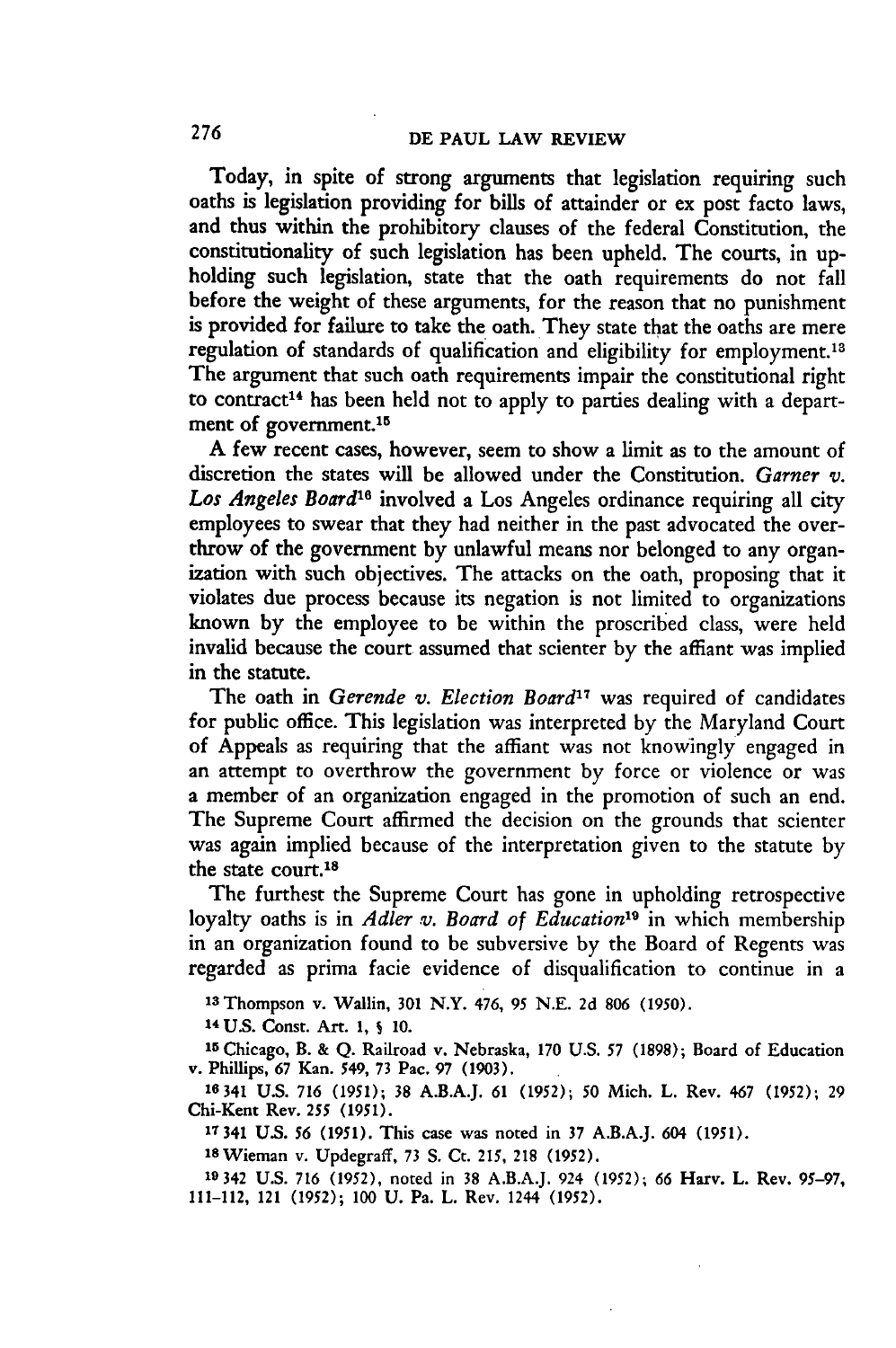Today, in spite of strong arguments that legislation requiring such oaths is legislation providing for bills of attainder or ex post facto laws, and thus within the prohibitory clauses of the federal Constitution, the constitutionality of such legislation has been upheld. The courts, in upholding such legislation, state that the oath requirements do not fall before the weight of these arguments, for the reason that no punishment is provided for failure to take the oath. They state that the oaths are mere regulation of standards of qualification and eligibility for employment.'<sup>8</sup> The argument that such oath requirements impair the constitutional right to contract<sup>14</sup> has been held not to apply to parties dealing with a department of government.<sup>15</sup>

A few recent cases, however, seem to show a limit as to the amount of discretion the states will be allowed under the Constitution. *Garner v.* Los Angeles Board<sup>16</sup> involved a Los Angeles ordinance requiring all city employees to swear that they had neither in the past advocated the overthrow of the government **by** unlawful means nor belonged to any organization with such objectives. The attacks on the oath, proposing that it violates due process because its negation is not limited to organizations known **by** the employee to be within the proscribed class, were held invalid because the court assumed that scienter **by** the affiant was implied in the statute.

The oath in *Gerende v. Election Board*<sup>17</sup> was required of candidates for public office. This legislation was interpreted **by** the Maryland Court of Appeals as requiring that the affiant was not knowingly engaged in an attempt to overthrow the government **by** force or violence or was a member of an organization engaged in the promotion of such an end. The Supreme Court affirmed the decision on the grounds that scienter was again implied because of the interpretation given to the statute by the state court.<sup>18</sup>

The furthest the Supreme Court has gone in upholding retrospective loyalty oaths is in *Adler v. Board of Education<sup>19</sup>* in which membership in an organization found to be subversive by the Board of Regents was regarded as prima facie evidence of disqualification to continue in a

**'I** Thompson v. Wallin, **301** N.Y. 476, **95** N.E. **2d 806 (1950).**

14 **U.S.** Const. Art. 1, **S 10.**

**<sup>15</sup>**Chicago, B. **&** Q. Railroad v. Nebraska, 170 U.S. *57* (1898); Board of Education **v.** Phillips, 67 Kan. 549, 73 Pac. 97 (1903).

**16341** U.S. 716 (1951); **38 A.B.A.J. 61 (1952); 50** Mich. L. Rev. 467 (1952); 29 Chi-Kent **Rev.** *255* (1951).

**17 341 U.S.** *56* (1951). This case was noted in **37 A.B.A.J. 604 (1951).**

1 <sup>8</sup> Wieman v. Updegraff, 73 **S.** Ct. **215, 218 (1952).**

**19342** U.S. 716 (1952), noted in 38 A.B.A.J. 924 **(1952);** 66 Harv. L. Rev. 95-97, 111-112, **121 (1952); 100 U.** Pa. **L. Rev. 1244 (1952).**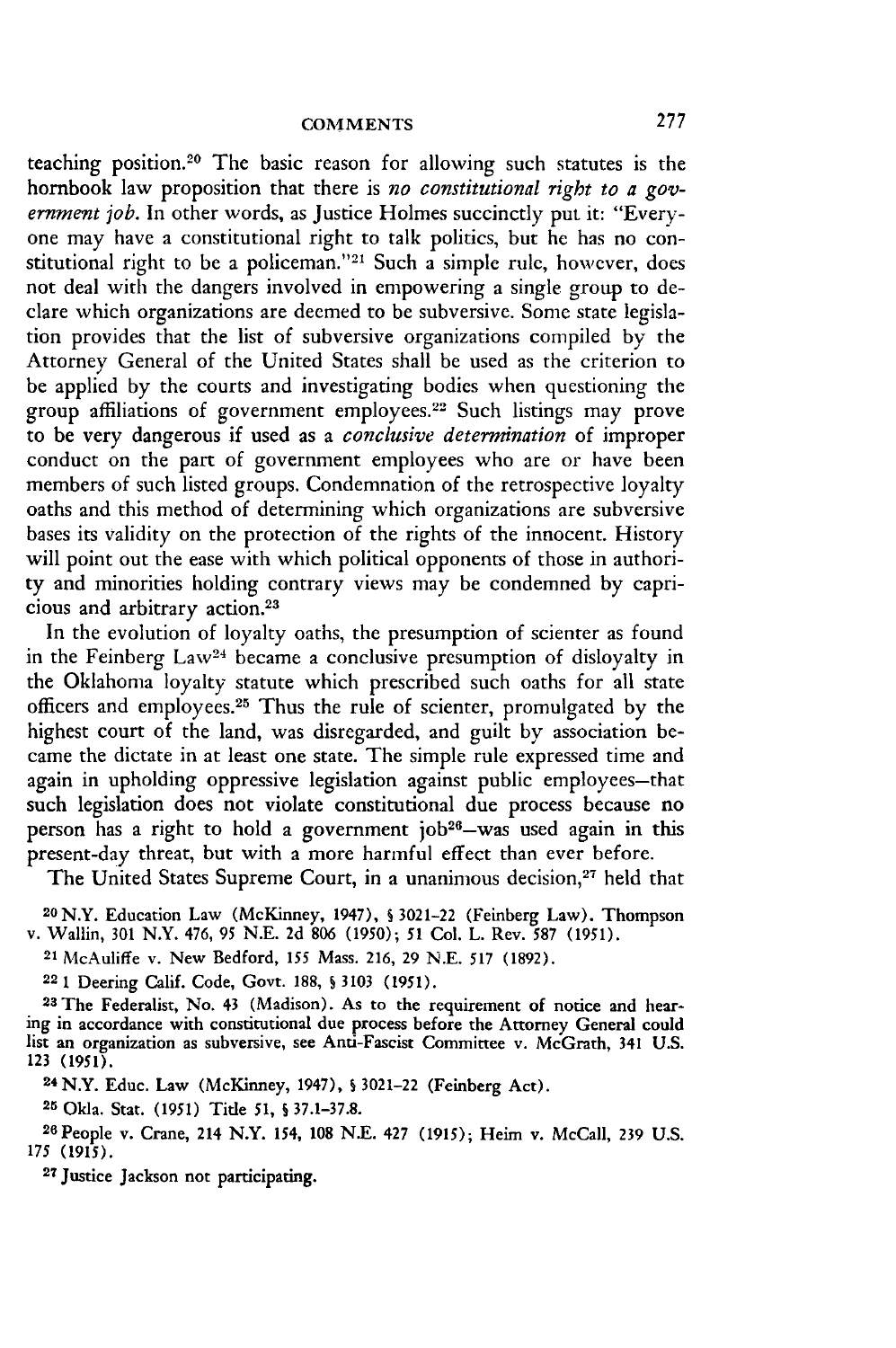teaching position.<sup>20</sup> The basic reason for allowing such statutes is the hornbook law proposition that there is *no constitutional right to a government job.* In other words, as Justice Holmes succinctly put it: "Everyone may have a constitutional right to talk politics, but he has no constitutional right to be a policeman."<sup>21</sup> Such a simple rule, however, does not deal with the dangers involved in empowering a single group to declare which organizations are deemed to be subversive. Some state legislation provides that the list of subversive organizations compiled by the Attorney General of the United States shall be used as the criterion to be applied by the courts and investigating bodies when questioning the group affiliations of government employees.22 Such listings may prove to be very dangerous if used as a *conclusive determination* of improper conduct on the part of government employees who are or have been members of such listed groups. Condemnation of the retrospective loyalty oaths and this method of determining which organizations are subversive bases its validity on the protection of the rights of the innocent. History will point out the ease with which political opponents of those in authority and minorities holding contrary views may be condemned by capricious and arbitrary action.<sup>23</sup>

In the evolution of loyalty oaths, the presumption of scienter as found in the Feinberg Law<sup>24</sup> became a conclusive presumption of disloyalty in the Oklahoma loyalty statute which prescribed such oaths for all state officers and employees.<sup>25</sup> Thus the rule of scienter, promulgated by the highest court of the land, was disregarded, and guilt by association became the dictate in at least one state. The simple rule expressed time and again in upholding oppressive legislation against public employees-that such legislation does not violate constitutional due process because no person has a right to hold a government job<sup>26</sup>-was used again in this present-day threat, but with a more harmful effect than ever before.

The United States Supreme Court, in a unanimous decision,<sup>27</sup> held that

**20** N.Y. Education Law (McKinney, 1947), **S 3021-22** (Feinberg Law). Thompson v. Wallin, **301** N.Y. 476, **95 N.E. 2d 806 (1950); 51** Col. L. Rev. **587 (1951).**

**<sup>21</sup>**McAuliffe v. New Bedford, *155* Mass. **216, 29 N.E. 517 (1892).**

**22 1** Deering Calif. Code, Govt. **188,** § **3103 (1951).**

**23 The Federalist, No.** 43 (Madison). As to the requirement **of notice** and **hearing in accordance with constitutional due process before the Attorney General could list an organization as subversive, see Anti-Fascist Committee** v. **McGrath, 341 U.S. 123 (1951).**

24 **N.Y. Educ. Law (McKinney, 1947), S 3021-22 (Feinberg Act).**

**25 Okla. Stat. (1951) Title 51, S 37.1-37.8.**

**<sup>2</sup> <sup>6</sup> People v. Crane, 214 N.Y.** 154, **108 N.E.** 427 **(1915); Heim v. McCall, 239 U.S. 175 (1915). <sup>27</sup> Justice Jackson** not participating.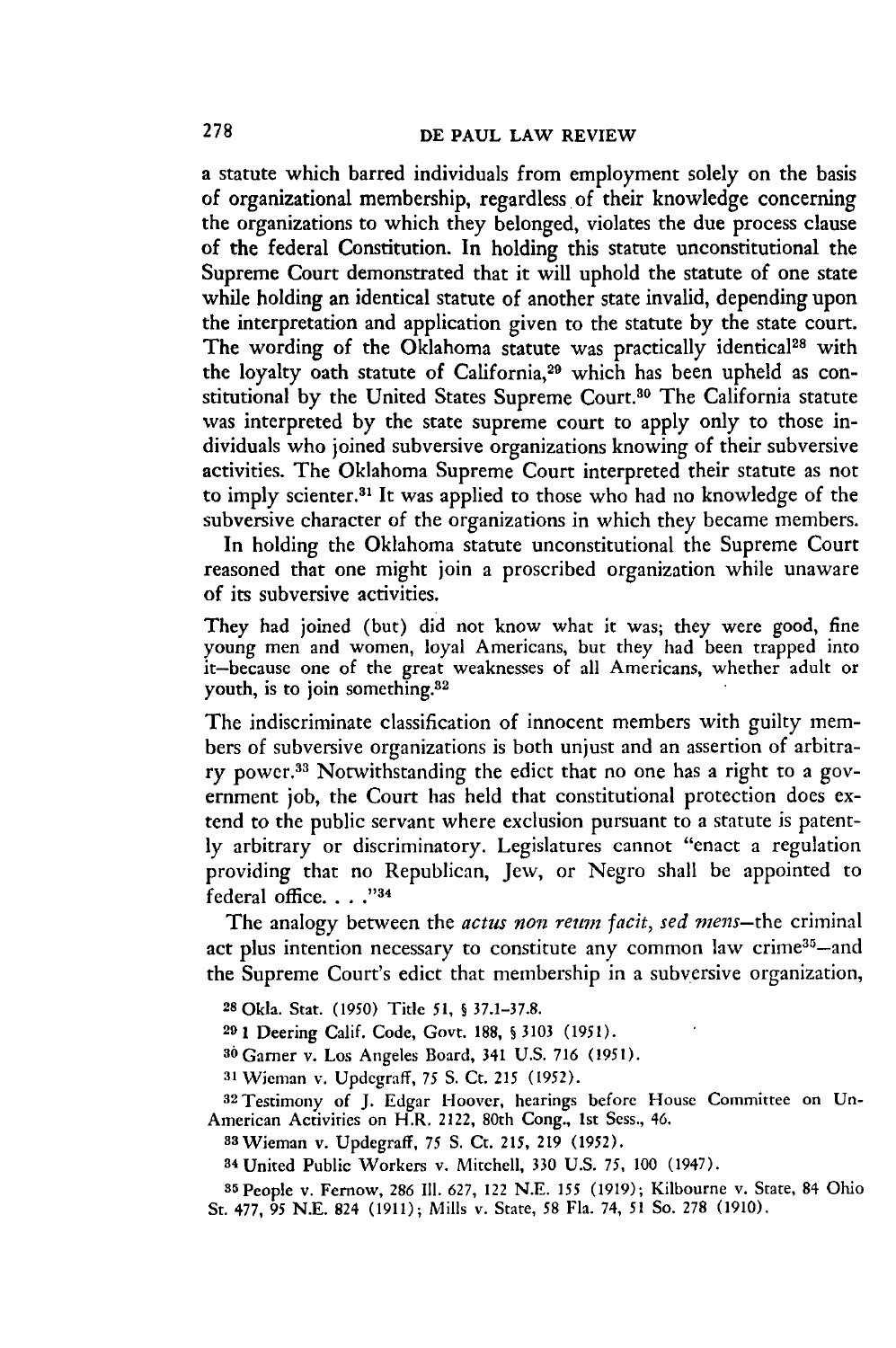a statute which barred individuals from employment solely on the basis of organizational membership, regardless of their knowledge concerning the organizations to which they belonged, violates the due process clause of the federal Constitution. In holding this statute unconstitutional the Supreme Court demonstrated that it will uphold the statute of one state while holding an identical statute of another state invalid, depending upon the interpretation and application given to the statute by the state court. The wording of the Oklahoma statute was practically identical<sup>28</sup> with the loyalty oath statute of California,<sup>29</sup> which has been upheld as constitutional by the United States Supreme Court.<sup>30</sup> The California statute was interpreted by the state supreme court to apply only to those individuals who joined subversive organizations knowing of their subversive activities. The Oklahoma Supreme Court interpreted their statute as not to imply scienter. 31 It was applied to those who had no knowledge of the subversive character of the organizations in which they became members.

In holding the Oklahoma statute unconstitutional the Supreme Court reasoned that one might join a proscribed organization while unaware of its subversive activities.

They had joined (but) did not know what it was; they were good, fine young men and women, loyal Americans, but they had been trapped into it-because one of the great weaknesses of all Americans, whether adult or youth, is to join something.<sup>32</sup>

The indiscriminate classification of innocent members with guilty members of subversive organizations is both unjust and an assertion of arbitrary power.33 Notwithstanding the edict that no one has a right to a government job, the Court has held that constitutional protection does extend to the public servant where exclusion pursuant to a statute is patently arbitrary or discriminatory. Legislatures cannot "enact a regulation providing that no Republican, Jew, or Negro shall be appointed to federal office. . . . "34

The analogy between the *actus non reum facit*, sed mens-the criminal act plus intention necessary to constitute any common law crime<sup>35</sup>-and the Supreme Court's edict that membership in a subversive organization,

**<sup>28</sup>**Okla. Stat. (1950) Title 51, **§** 37.1-37.8.

**29** 1 Deering Calif. Code, Govt. 188, **S** 3103 (1951).

**<sup>36</sup>**Gamer v. Los Angeles Board, 341 U.S. 716 (1951).

**<sup>31</sup>**Wieman v. Updegraff, 75 **S.** Ct. *215* (1952).

32Testimony of J. Edgar Hoover, hearings before House Committee on Un-American Activities on H.R. 2122, 80th Cong., 1st Sess., 46. <sup>8</sup> <sup>3</sup> Wieman v. Updegraff, 75 **S.** Ct. 215, 219 (1952).

**<sup>34</sup>**United Public Workers v. Mitchell, 330 U.S. 75, 100 (1947).

35People v. Fernow, 286 Il. 627, 122 N.E. *155* (1919); Kilbourne v. State, 84 Ohio St. 477, 95 N.E. 824 (1911); Mills v. State, 58 Fla. 74, 51 So. 278 (1910).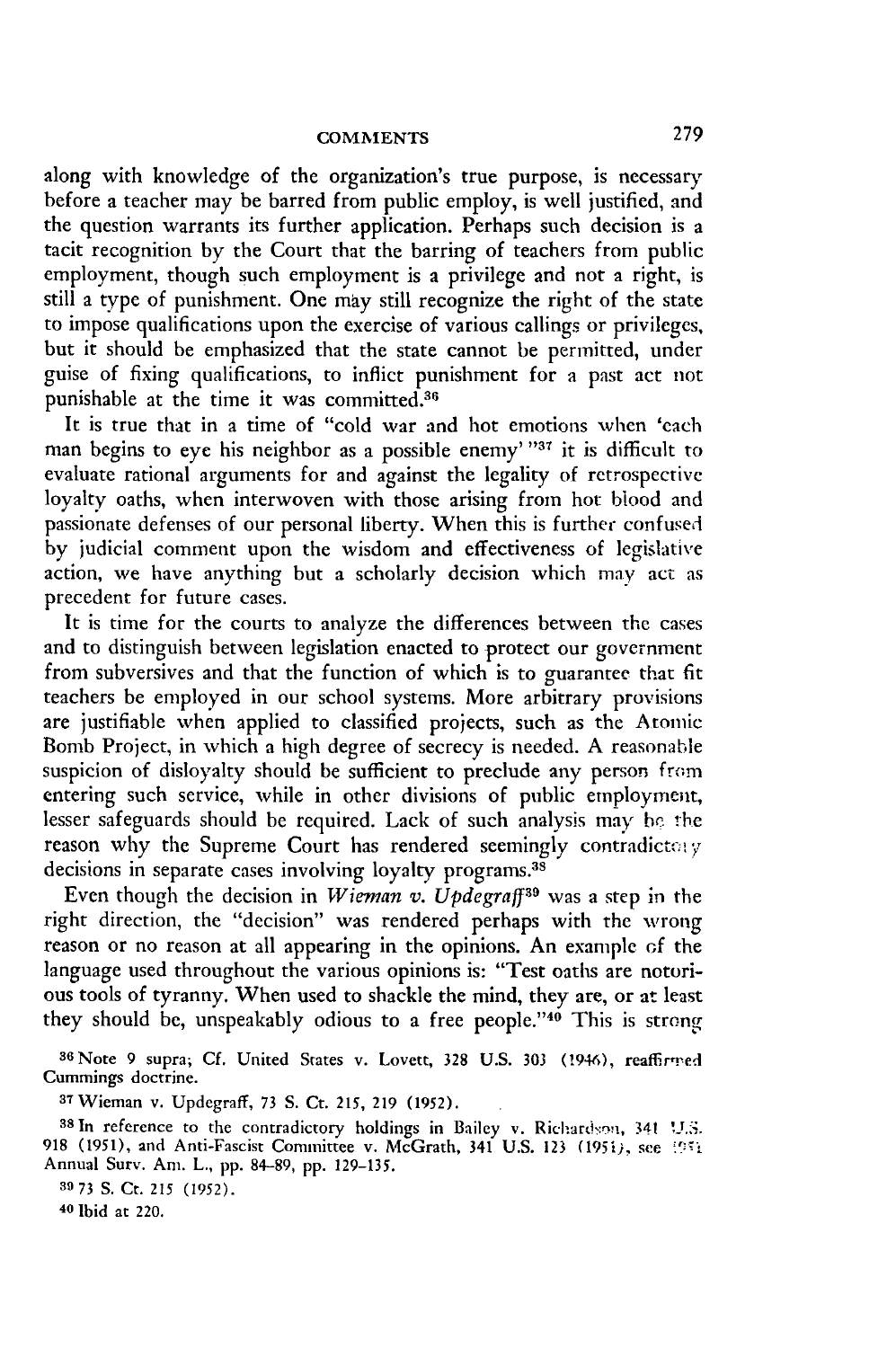along with knowledge of the organization's true purpose, is necessary before a teacher may be barred from public employ, is well justified, and the question warrants its further application. Perhaps such decision is a tacit recognition **by** the Court that the barring of teachers from public employment, though such employment is a privilege and not a right, is still a type of punishment. One may still recognize the right of the state to impose qualifications upon the exercise of various callings or privileges, but it should be emphasized that the state cannot be permitted, under guise of fixing qualifications, to inflict punishment for a past act not punishable at the time it was committed.<sup>36</sup>

It is true that in a time of "cold war and hot emotions when 'each man begins to eye his neighbor as a possible enemy' "37 it is difficult to evaluate rational arguments for and against the legality of retrospective loyalty oaths, when interwoven with those arising from hot blood and passionate defenses of our personal liberty. When this is further confused **by** judicial comment upon the wisdom and effectiveness of legislative action, we have anything but a scholarly decision which **may** act as precedent for future cases.

It is time for the courts to analyze the differences between **the** cases and to distinguish between legislation enacted to protect our government from subversives and that the function of which is to guarantee that fit teachers be employed in our school systems. More arbitrary provisions are justifiable when applied to classified projects, such as the Atomic Bomb Project, in which a high degree of secrecy is needed. **A** reasonable suspicion of disloyalty should be sufficient to preclude any person from entering such service, while in other divisions of public employment, lesser safeguards should be required. Lack of such analysis may be the reason why the Supreme Court has rendered seemingly contradictery decisions in separate cases involving loyalty programs.<sup>38</sup>

Even though the decision in *Wieman v. Updegraff39* was a step in the right direction, the "decision" was rendered perhaps with the wrong reason or no reason at all appearing in the opinions. An example of the language used throughout the various opinions is: "Test oaths are notorious tools of tyranny. When used to shackle the mind, they are, or at least they should be, unspeakably odious to a free people."<sup>40</sup> This is strong

<sup>36</sup> Note 9 supra; Cf. United States v. Lovett, 328 U.S. 303 (1946), reaffirmed Cummings doctrine.

**<sup>37</sup>**Wieman v. Updegraff, 73 S. Ct. 215, 219 (1952).

38 In reference to the contradictory holdings in Bailey v. Richardson, 341 U.S. 918 (1951), and Anti-Fascist Committee v. McGrath, 341 **U.S. 123** (195i), see *.',* Annual Surv. Am. L., pp. 84-89, pp. 129-135.

**<sup>39</sup>73** S. Ct. 215 (1952).

**40** Ibid at 220.